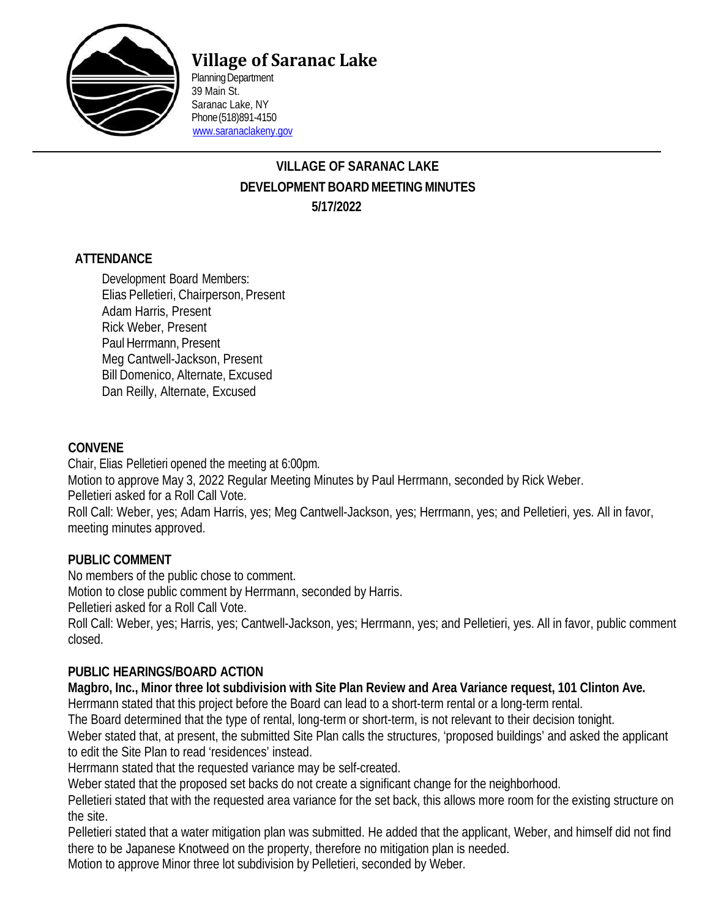

# **Village of Saranac Lake**

Planning Department 39 Main St. Saranac Lake, NY Phone(518)891-4150 [www.saranaclakeny.gov](http://www.saranaclakeny.gov/)

## **VILLAGE OF SARANAC LAKE DEVELOPMENT BOARDMEETINGMINUTES 5/17/2022**

#### **ATTENDANCE**

Development Board Members: Elias Pelletieri, Chairperson, Present Adam Harris, Present Rick Weber, Present Paul Herrmann, Present Meg Cantwell-Jackson, Present Bill Domenico, Alternate, Excused Dan Reilly, Alternate, Excused

#### **CONVENE**

Chair, Elias Pelletieri opened the meeting at 6:00pm. Motion to approve May 3, 2022 Regular Meeting Minutes by Paul Herrmann, seconded by Rick Weber. Pelletieri asked for a Roll Call Vote. Roll Call: Weber, yes; Adam Harris, yes; Meg Cantwell-Jackson, yes; Herrmann, yes; and Pelletieri, yes. All in favor, meeting minutes approved.

#### **PUBLIC COMMENT**

No members of the public chose to comment.

Motion to close public comment by Herrmann, seconded by Harris.

Pelletieri asked for a Roll Call Vote.

Roll Call: Weber, yes; Harris, yes; Cantwell-Jackson, yes; Herrmann, yes; and Pelletieri, yes. All in favor, public comment closed.

## **PUBLIC HEARINGS/BOARD ACTION**

Magbro, Inc., Minor three lot subdivision with Site Plan Review and Area Variance request, 101 Clinton Ave.

Herrmann stated that this project before the Board can lead to a short-term rental or a long-term rental.

The Board determined that the type of rental, long-term or short-term, is not relevant to their decision tonight.

Weber stated that, at present, the submitted Site Plan calls the structures, 'proposed buildings' and asked the applicant to edit the Site Plan to read 'residences' instead.

Herrmann stated that the requested variance may be self-created.

Weber stated that the proposed set backs do not create a significant change for the neighborhood.

Pelletieri stated that with the requested area variance for the set back, this allows more room for the existing structure on the site.

Pelletieri stated that a water mitigation plan was submitted. He added that the applicant, Weber, and himself did not find there to be Japanese Knotweed on the property, therefore no mitigation plan is needed.

Motion to approve Minor three lot subdivision by Pelletieri, seconded by Weber.